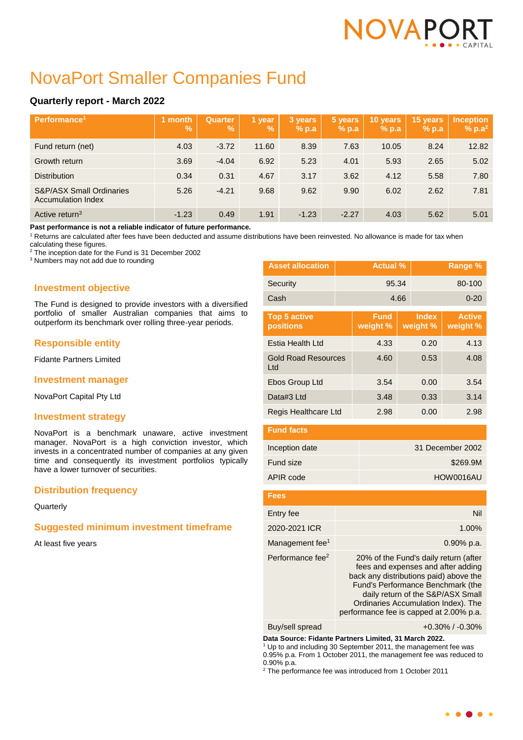# NOVAPC

# NovaPort Smaller Companies Fund

# **Quarterly report - March 2022**

| Performance <sup>1</sup>                                         | month<br>$\frac{9}{6}$ | <b>Quarter</b><br>$\mathbf{V}_{\mathbf{0}}$ | 1 year<br>$\mathbf{V}_0$ | 3 years<br>$%$ p.a | 5 years<br>% p.a | 10 years<br>$%$ p.a | 15 years<br>$%$ p.a | <b>Inception</b><br>$% p.a^2$ |
|------------------------------------------------------------------|------------------------|---------------------------------------------|--------------------------|--------------------|------------------|---------------------|---------------------|-------------------------------|
| Fund return (net)                                                | 4.03                   | $-3.72$                                     | 11.60                    | 8.39               | 7.63             | 10.05               | 8.24                | 12.82                         |
| Growth return                                                    | 3.69                   | $-4.04$                                     | 6.92                     | 5.23               | 4.01             | 5.93                | 2.65                | 5.02                          |
| <b>Distribution</b>                                              | 0.34                   | 0.31                                        | 4.67                     | 3.17               | 3.62             | 4.12                | 5.58                | 7.80                          |
| <b>S&amp;P/ASX Small Ordinaries</b><br><b>Accumulation Index</b> | 5.26                   | $-4.21$                                     | 9.68                     | 9.62               | 9.90             | 6.02                | 2.62                | 7.81                          |
| Active return <sup>3</sup>                                       | $-1.23$                | 0.49                                        | 1.91                     | $-1.23$            | $-2.27$          | 4.03                | 5.62                | 5.01                          |

**Past performance is not a reliable indicator of future performance.**

<sup>1</sup> Returns are calculated after fees have been deducted and assume distributions have been reinvested. No allowance is made for tax when

calculating these figures.

<sup>2</sup> The inception date for the Fund is 31 December 2002

<sup>3</sup> Numbers may not add due to rounding

# **Investment objective**

The Fund is designed to provide investors with a diversified portfolio of smaller Australian companies that aims to outperform its benchmark over rolling three-year periods.

# **Responsible entity**

Fidante Partners Limited

# **Investment manager**

NovaPort Capital Pty Ltd

# **Investment strategy**

NovaPort is a benchmark unaware, active investment manager. NovaPort is a high conviction investor, which invests in a concentrated number of companies at any given time and consequently its investment portfolios typically have a lower turnover of securities.

# **Distribution frequency**

**Quarterly** 

# **Suggested minimum investment timeframe**

At least five years

| <b>Asset allocation</b>                 | <b>Actual %</b> |                         |      |                          | Range %                   |
|-----------------------------------------|-----------------|-------------------------|------|--------------------------|---------------------------|
| Security                                |                 | 95.34                   |      | 80-100                   |                           |
| Cash                                    |                 |                         | 4.66 | $0 - 20$                 |                           |
| <b>Top 5 active</b><br><b>positions</b> |                 | <b>Fund</b><br>weight % |      | <b>Index</b><br>weight % | <b>Active</b><br>weight % |
| Estia Health Ltd                        |                 | 4.33                    | 0.20 |                          | 4.13                      |
| <b>Gold Road Resources</b><br>Ltd       |                 | 4.60                    | 0.53 |                          | 4.08                      |
| Ebos Group Ltd                          |                 | 3.54                    |      | 0.00                     | 3.54                      |
| Data#3 Ltd                              |                 | 3.48                    | 0.33 |                          | 3.14                      |
| Regis Healthcare Ltd                    |                 | 2.98                    |      | 0.00                     | 2.98                      |

| <b>Fund facts</b> |                  |
|-------------------|------------------|
| Inception date    | 31 December 2002 |
| Fund size         | \$269.9M         |
| APIR code         | HOW0016AU        |

| Fees                         |                                                                                                                                                                                                                                                                                   |
|------------------------------|-----------------------------------------------------------------------------------------------------------------------------------------------------------------------------------------------------------------------------------------------------------------------------------|
| Entry fee                    | Nil                                                                                                                                                                                                                                                                               |
| 2020-2021 ICR                | 1.00%                                                                                                                                                                                                                                                                             |
| Management fee <sup>1</sup>  | $0.90\%$ p.a.                                                                                                                                                                                                                                                                     |
| Performance fee <sup>2</sup> | 20% of the Fund's daily return (after<br>fees and expenses and after adding<br>back any distributions paid) above the<br>Fund's Performance Benchmark (the<br>daily return of the S&P/ASX Small<br>Ordinaries Accumulation Index). The<br>performance fee is capped at 2.00% p.a. |

Buy/sell spread +0.30% / -0.30%

**Data Source: Fidante Partners Limited, 31 March 2022.**

<sup>1</sup> Up to and including 30 September 2011, the management fee was 0.95% p.a. From 1 October 2011, the management fee was reduced to 0.90% p.a.

<sup>2</sup> The performance fee was introduced from 1 October 2011

 $\bullet$   $\bullet$   $\bullet$   $\bullet$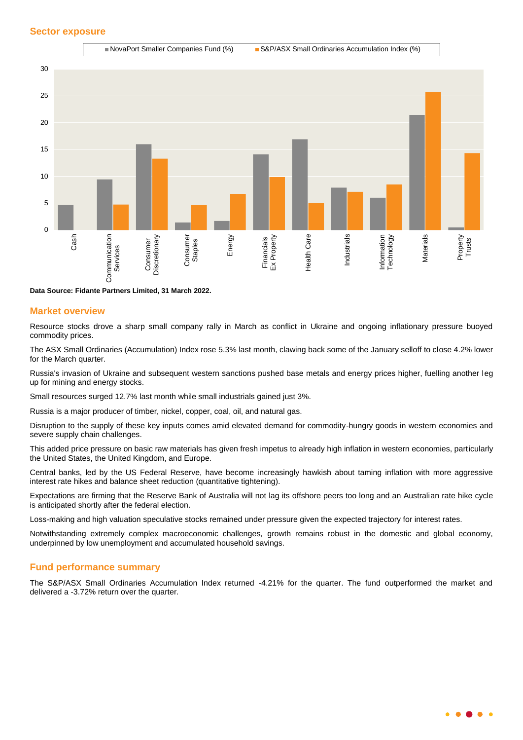

**Data Source: Fidante Partners Limited, 31 March 2022.**

#### **Market overview**

Resource stocks drove a sharp small company rally in March as conflict in Ukraine and ongoing inflationary pressure buoyed commodity prices.

The ASX Small Ordinaries (Accumulation) Index rose 5.3% last month, clawing back some of the January selloff to close 4.2% lower for the March quarter.

Russia's invasion of Ukraine and subsequent western sanctions pushed base metals and energy prices higher, fuelling another leg up for mining and energy stocks.

Small resources surged 12.7% last month while small industrials gained just 3%.

Russia is a major producer of timber, nickel, copper, coal, oil, and natural gas.

Disruption to the supply of these key inputs comes amid elevated demand for commodity-hungry goods in western economies and severe supply chain challenges.

This added price pressure on basic raw materials has given fresh impetus to already high inflation in western economies, particularly the United States, the United Kingdom, and Europe.

Central banks, led by the US Federal Reserve, have become increasingly hawkish about taming inflation with more aggressive interest rate hikes and balance sheet reduction (quantitative tightening).

Expectations are firming that the Reserve Bank of Australia will not lag its offshore peers too long and an Australian rate hike cycle is anticipated shortly after the federal election.

Loss-making and high valuation speculative stocks remained under pressure given the expected trajectory for interest rates.

Notwithstanding extremely complex macroeconomic challenges, growth remains robust in the domestic and global economy, underpinned by low unemployment and accumulated household savings.

#### **Fund performance summary**

The S&P/ASX Small Ordinaries Accumulation Index returned -4.21% for the quarter. The fund outperformed the market and delivered a -3.72% return over the quarter.